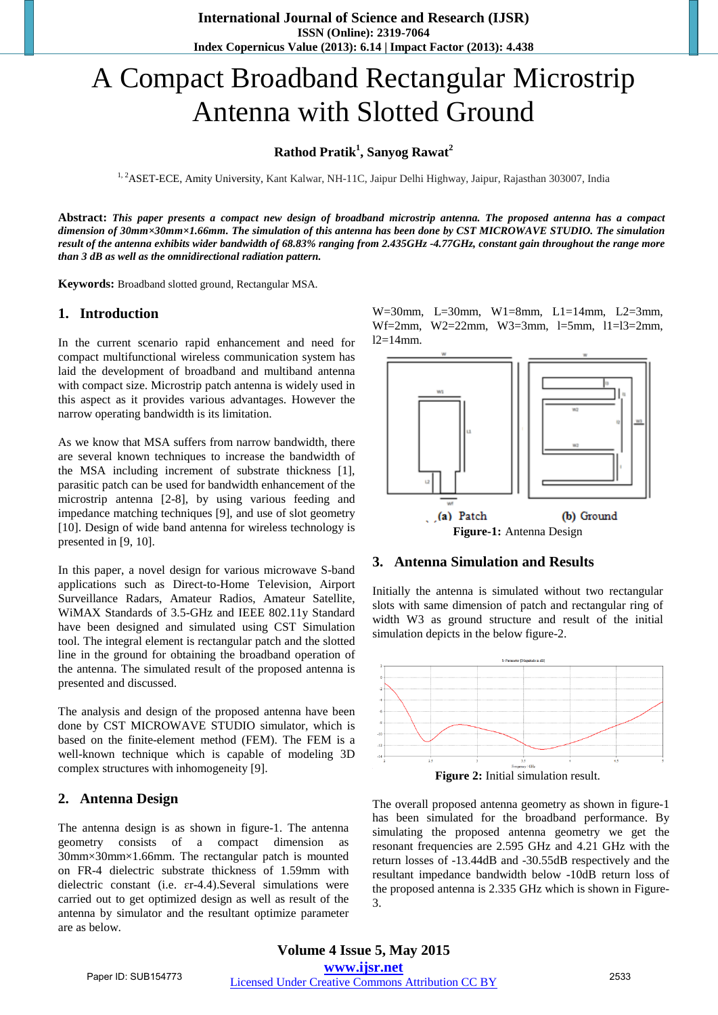# A Compact Broadband Rectangular Microstrip Antenna with Slotted Ground

# **Rathod Pratik<sup>1</sup> , Sanyog Rawat<sup>2</sup>**

<sup>1, 2</sup>ASET-ECE, Amity University, Kant Kalwar, NH-11C, Jaipur Delhi Highway, Jaipur, Rajasthan 303007, India

**Abstract:** *This paper presents a compact new design of broadband microstrip antenna. The proposed antenna has a compact dimension of 30mm×30mm×1.66mm. The simulation of this antenna has been done by CST MICROWAVE STUDIO. The simulation result of the antenna exhibits wider bandwidth of 68.83% ranging from 2.435GHz -4.77GHz, constant gain throughout the range more than 3 dB as well as the omnidirectional radiation pattern.* 

**Keywords:** Broadband slotted ground, Rectangular MSA.

# **1. Introduction**

In the current scenario rapid enhancement and need for compact multifunctional wireless communication system has laid the development of broadband and multiband antenna with compact size. Microstrip patch antenna is widely used in this aspect as it provides various advantages. However the narrow operating bandwidth is its limitation.

As we know that MSA suffers from narrow bandwidth, there are several known techniques to increase the bandwidth of the MSA including increment of substrate thickness [1], parasitic patch can be used for bandwidth enhancement of the microstrip antenna [2-8], by using various feeding and impedance matching techniques [9], and use of slot geometry [10]. Design of wide band antenna for wireless technology is presented in [9, 10].

In this paper, a novel design for various microwave S-band applications such as Direct-to-Home Television, Airport Surveillance Radars, Amateur Radios, Amateur Satellite, WiMAX Standards of 3.5-GHz and IEEE 802.11y Standard have been designed and simulated using CST Simulation tool. The integral element is rectangular patch and the slotted line in the ground for obtaining the broadband operation of the antenna. The simulated result of the proposed antenna is presented and discussed.

The analysis and design of the proposed antenna have been done by CST MICROWAVE STUDIO simulator, which is based on the finite-element method (FEM). The FEM is a well-known technique which is capable of modeling 3D complex structures with inhomogeneity [9].

# **2. Antenna Design**

The antenna design is as shown in figure-1. The antenna geometry consists of a compact dimension as 30mm×30mm×1.66mm. The rectangular patch is mounted on FR-4 dielectric substrate thickness of 1.59mm with dielectric constant (i.e. ɛr-4.4).Several simulations were carried out to get optimized design as well as result of the antenna by simulator and the resultant optimize parameter are as below.

W=30mm, L=30mm, W1=8mm, L1=14mm, L2=3mm, Wf=2mm, W2=22mm, W3=3mm, l=5mm, l1=l3=2mm,  $12=14$ mm.



#### **3. Antenna Simulation and Results**

Initially the antenna is simulated without two rectangular slots with same dimension of patch and rectangular ring of width W3 as ground structure and result of the initial simulation depicts in the below figure-2.



**Figure 2:** Initial simulation result.

The overall proposed antenna geometry as shown in figure-1 has been simulated for the broadband performance. By simulating the proposed antenna geometry we get the resonant frequencies are 2.595 GHz and 4.21 GHz with the return losses of -13.44dB and -30.55dB respectively and the resultant impedance bandwidth below -10dB return loss of the proposed antenna is 2.335 GHz which is shown in Figure-3.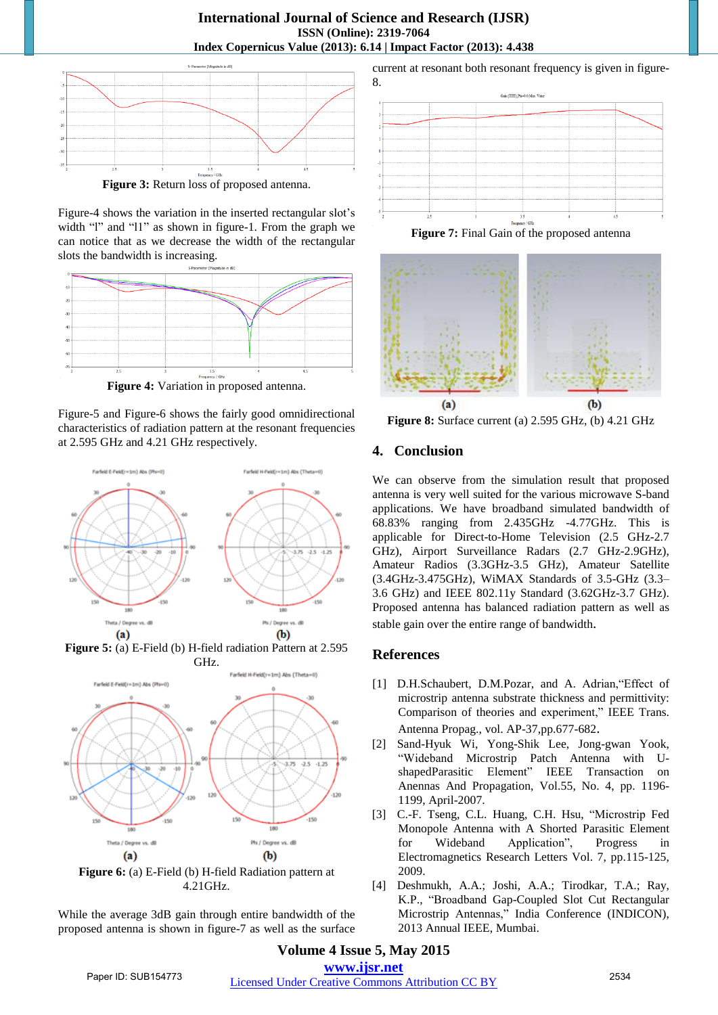

**Figure 3:** Return loss of proposed antenna.

Figure-4 shows the variation in the inserted rectangular slot's width "l" and "l1" as shown in figure-1. From the graph we can notice that as we decrease the width of the rectangular slots the bandwidth is increasing.



**Figure 4:** Variation in proposed antenna.

Figure-5 and Figure-6 shows the fairly good omnidirectional characteristics of radiation pattern at the resonant frequencies at 2.595 GHz and 4.21 GHz respectively.



**Figure 5:** (a) E-Field (b) H-field radiation Pattern at 2.595 GHz.



**Figure 6:** (a) E-Field (b) H-field Radiation pattern at 4.21GHz.

While the average 3dB gain through entire bandwidth of the proposed antenna is shown in figure-7 as well as the surface current at resonant both resonant frequency is given in figure-8.







**Figure 8:** Surface current (a) 2.595 GHz, (b) 4.21 GHz

# **4. Conclusion**

We can observe from the simulation result that proposed antenna is very well suited for the various microwave S-band applications. We have broadband simulated bandwidth of 68.83% ranging from 2.435GHz -4.77GHz. This is applicable for Direct-to-Home Television (2.5 GHz-2.7 GHz), Airport Surveillance Radars (2.7 GHz-2.9GHz), Amateur Radios (3.3GHz-3.5 GHz), Amateur Satellite (3.4GHz-3.475GHz), WiMAX Standards of 3.5-GHz (3.3– 3.6 GHz) and IEEE 802.11y Standard (3.62GHz-3.7 GHz). Proposed antenna has balanced radiation pattern as well as stable gain over the entire range of bandwidth.

#### **References**

- [1] D.H.Schaubert, D.M.Pozar, and A. Adrian, "Effect of microstrip antenna substrate thickness and permittivity: Comparison of theories and experiment," IEEE Trans. Antenna Propag., vol. AP-37,pp.677-682.
- [2] Sand-Hyuk Wi, Yong-Shik Lee, Jong-gwan Yook, "Wideband Microstrip Patch Antenna with UshapedParasitic Element" IEEE Transaction on Anennas And Propagation, Vol.55, No. 4, pp. 1196- 1199, April-2007.
- [3] C.-F. Tseng, C.L. Huang, C.H. Hsu, "Microstrip Fed Monopole Antenna with A Shorted Parasitic Element for Wideband Application", Progress in Electromagnetics Research Letters Vol. 7, pp.115-125, 2009.
- [4] Deshmukh, A.A.; Joshi, A.A.; Tirodkar, T.A.; Ray, K.P., "Broadband Gap-Coupled Slot Cut Rectangular Microstrip Antennas," India Conference (INDICON), 2013 Annual IEEE, Mumbai.